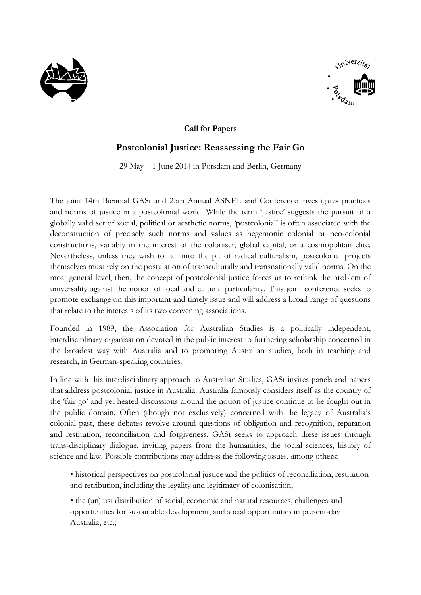



## **Call for Papers**

## **Postcolonial Justice: Reassessing the Fair Go**

29 May – 1 June 2014 in Potsdam and Berlin, Germany

The joint 14th Biennial GASt and 25th Annual ASNEL and Conference investigates practices and norms of justice in a postcolonial world. While the term 'justice' suggests the pursuit of a globally valid set of social, political or aesthetic norms, 'postcolonial' is often associated with the deconstruction of precisely such norms and values as hegemonic colonial or neo-colonial constructions, variably in the interest of the coloniser, global capital, or a cosmopolitan elite. Nevertheless, unless they wish to fall into the pit of radical culturalism, postcolonial projects themselves must rely on the postulation of transculturally and transnationally valid norms. On the most general level, then, the concept of postcolonial justice forces us to rethink the problem of universality against the notion of local and cultural particularity. This joint conference seeks to promote exchange on this important and timely issue and will address a broad range of questions that relate to the interests of its two convening associations.

Founded in 1989, the Association for Australian Studies is a politically independent, interdisciplinary organisation devoted in the public interest to furthering scholarship concerned in the broadest way with Australia and to promoting Australian studies, both in teaching and research, in German-speaking countries.

In line with this interdisciplinary approach to Australian Studies, GASt invites panels and papers that address postcolonial justice in Australia. Australia famously considers itself as the country of the 'fair go' and yet heated discussions around the notion of justice continue to be fought out in the public domain. Often (though not exclusively) concerned with the legacy of Australia's colonial past, these debates revolve around questions of obligation and recognition, reparation and restitution, reconciliation and forgiveness. GASt seeks to approach these issues through trans-disciplinary dialogue, inviting papers from the humanities, the social sciences, history of science and law. Possible contributions may address the following issues, among others:

• historical perspectives on postcolonial justice and the politics of reconciliation, restitution and retribution, including the legality and legitimacy of colonisation;

• the (un)just distribution of social, economic and natural resources, challenges and opportunities for sustainable development, and social opportunities in present-day Australia, etc.;